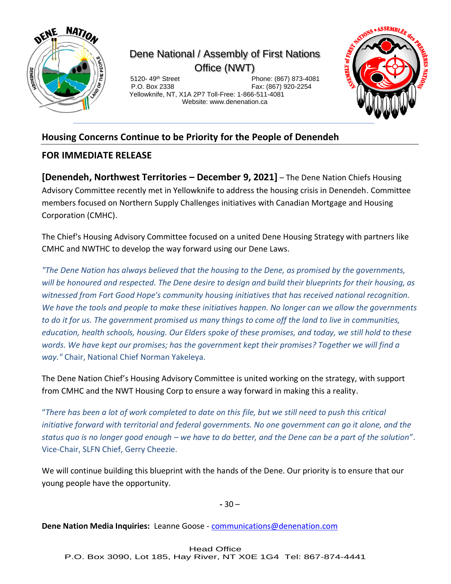

## Dene National / Assembly of First Nations Office (NWT)

 5120- 49th Street Phone: (867) 873-4081 Fax: (867) 920-2254 Yellowknife, NT, X1A 2P7 Toll-Free: 1-866-511-4081 Website: www.denenation.ca



## **Housing Concerns Continue to be Priority for the People of Denendeh**

## **FOR IMMEDIATE RELEASE**

**[Denendeh, Northwest Territories – December 9, 2021]** – The Dene Nation Chiefs Housing Advisory Committee recently met in Yellowknife to address the housing crisis in Denendeh. Committee members focused on Northern Supply Challenges initiatives with Canadian Mortgage and Housing Corporation (CMHC).

The Chief's Housing Advisory Committee focused on a united Dene Housing Strategy with partners like CMHC and NWTHC to develop the way forward using our Dene Laws.

*"The Dene Nation has always believed that the housing to the Dene, as promised by the governments, will be honoured and respected. The Dene desire to design and build their blueprints for their housing, as witnessed from Fort Good Hope's community housing initiatives that has received national recognition. We have the tools and people to make these initiatives happen. No longer can we allow the governments to do it for us. The government promised us many things to come off the land to live in communities, education, health schools, housing. Our Elders spoke of these promises, and today, we still hold to these words. We have kept our promises; has the government kept their promises? Together we will find a way."* Chair, National Chief Norman Yakeleya.

The Dene Nation Chief's Housing Advisory Committee is united working on the strategy, with support from CMHC and the NWT Housing Corp to ensure a way forward in making this a reality.

"*There has been a lot of work completed to date on this file, but we still need to push this critical initiative forward with territorial and federal governments. No one government can go it alone, and the status quo is no longer good enough – we have to do better, and the Dene can be a part of the solution*". Vice-Chair, SLFN Chief, Gerry Cheezie.

We will continue building this blueprint with the hands of the Dene. Our priority is to ensure that our young people have the opportunity.

**-** 30 –

**Dene Nation Media Inquiries:** Leanne Goose - [communications@denenation.com](mailto:communications@denenation.com)